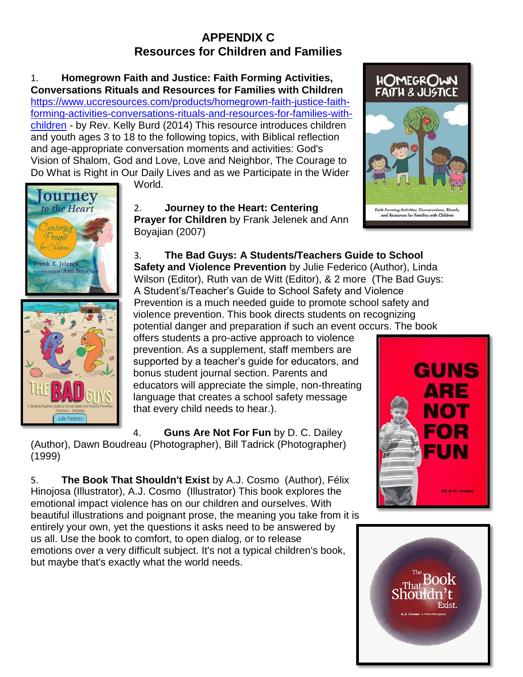## **APPENDIX C Resources for Children and Families**

1. **Homegrown Faith and Justice: Faith Forming Activities, Conversations Rituals and Resources for Families with Children**  [https://www.uccresources.com/products/homegrown-faith-justice-faith](https://www.uccresources.com/products/homegrown-faith-justice-faith-forming-activities-conversations-rituals-and-resources-for-families-with-children)[forming-activities-conversations-rituals-and-resources-for-families-with](https://www.uccresources.com/products/homegrown-faith-justice-faith-forming-activities-conversations-rituals-and-resources-for-families-with-children)[children](https://www.uccresources.com/products/homegrown-faith-justice-faith-forming-activities-conversations-rituals-and-resources-for-families-with-children) - by Rev. Kelly Burd (2014) This resource introduces children and youth ages 3 to 18 to the following topics, with Biblical reflection and age-appropriate conversation moments and activities: God's Vision of Shalom, God and Love, Love and Neighbor, The Courage to Do What is Right in Our Daily Lives and as we Participate in the Wider



World.

2. **Journey to the Heart: Centering Prayer for Children** by Frank Jelenek and Ann Boyajian (2007)



offers students a pro-active approach to violence prevention. As a supplement, staff members are supported by a teacher's guide for educators, and bonus student journal section. Parents and educators will appreciate the simple, non-threating language that creates a school safety message that every child needs to hear.).

4. **Guns Are Not For Fun** by D. C. Dailey (Author), Dawn Boudreau (Photographer), Bill Tadrick (Photographer) (1999)

5. **The Book That Shouldn't Exist** by A.J. Cosmo (Author), Félix Hinojosa (Illustrator), A.J. Cosmo (Illustrator) This book explores the emotional impact violence has on our children and ourselves. With beautiful illustrations and poignant prose, the meaning you take from it is entirely your own, yet the questions it asks need to be answered by us all. Use the book to comfort, to open dialog, or to release emotions over a very difficult subject. It's not a typical children's book, but maybe that's exactly what the world needs.





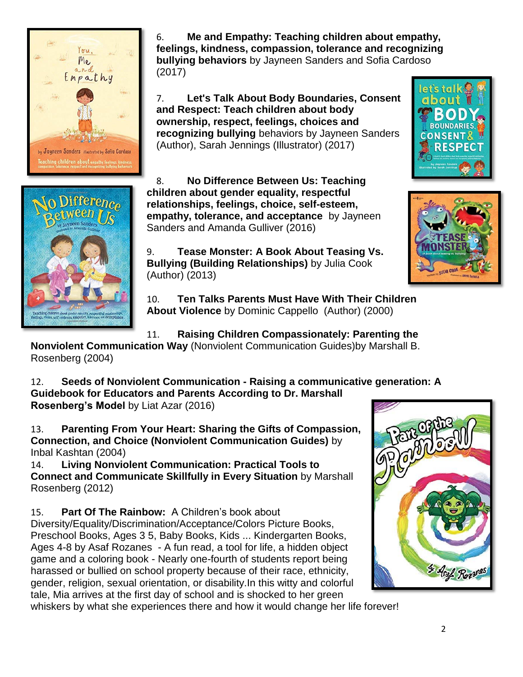

6. **Me and Empathy: Teaching children about empathy, feelings, kindness, compassion, tolerance and recognizing bullying behaviors** by Jayneen Sanders and Sofia Cardoso (2017)

7. **Let's Talk About Body Boundaries, Consent and Respect: Teach children about body ownership, respect, feelings, choices and recognizing bullying** behaviors by Jayneen Sanders (Author), Sarah Jennings (Illustrator) (2017)



8. **No Difference Between Us: Teaching children about gender equality, respectful relationships, feelings, choice, self-esteem, empathy, tolerance, and acceptance** by Jayneen Sanders and Amanda Gulliver (2016)

9. **Tease Monster: A Book About Teasing Vs. Bullying (Building Relationships)** by Julia Cook (Author) (2013)

10. **Ten Talks Parents Must Have With Their Children About Violence** by Dominic Cappello (Author) (2000)

11. **Raising Children Compassionately: Parenting the** 

**Nonviolent Communication Way** (Nonviolent Communication Guides)by Marshall B. Rosenberg (2004)

12. **Seeds of Nonviolent Communication - Raising a communicative generation: A Guidebook for Educators and Parents According to Dr. Marshall Rosenberg's Model** by Liat Azar (2016)

13. **Parenting From Your Heart: Sharing the Gifts of Compassion, Connection, and Choice (Nonviolent Communication Guides)** by

Inbal Kashtan (2004)

14. **Living Nonviolent Communication: Practical Tools to Connect and Communicate Skillfully in Every Situation** by Marshall Rosenberg (2012)

15. **Part Of The Rainbow:** A Children's book about Diversity/Equality/Discrimination/Acceptance/Colors Picture Books, Preschool Books, Ages 3 5, Baby Books, Kids ... Kindergarten Books, Ages 4-8 by Asaf Rozanes - A fun read, a tool for life, a hidden object game and a coloring book - Nearly one-fourth of students report being harassed or bullied on school property because of their race, ethnicity, gender, religion, sexual orientation, or disability.In this witty and colorful tale, Mia arrives at the first day of school and is shocked to her green whiskers by what she experiences there and how it would change her life forever!





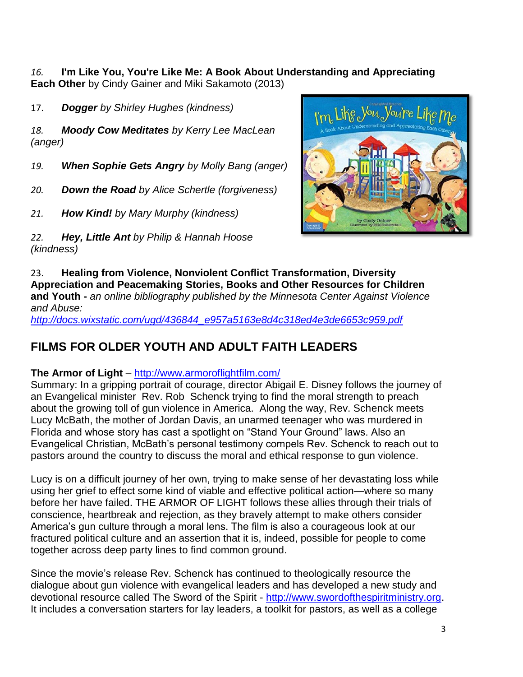*16.* **I'm Like You, You're Like Me: A Book About Understanding and Appreciating** 

**Each Other** by Cindy Gainer and Miki Sakamoto (2013)

17. *Dogger by Shirley Hughes (kindness)*

*18. Moody Cow Meditates by Kerry Lee MacLean (anger)*

- *19. When Sophie Gets Angry by Molly Bang (anger)*
- *20. Down the Road by Alice Schertle (forgiveness)*
- *21. How Kind! by Mary Murphy (kindness)*
- *22. Hey, Little Ant by Philip & Hannah Hoose (kindness)*



23. **Healing from Violence, Nonviolent Conflict Transformation, Diversity Appreciation and Peacemaking Stories, Books and Other Resources for Children and Youth -** *an online bibliography published by the Minnesota Center Against Violence and Abuse:* 

*[http://docs.wixstatic.com/ugd/436844\\_e957a5163e8d4c318ed4e3de6653c959.pdf](http://docs.wixstatic.com/ugd/436844_e957a5163e8d4c318ed4e3de6653c959.pdf)*

# **FILMS FOR OLDER YOUTH AND ADULT FAITH LEADERS**

## **The Armor of Light** – <http://www.armoroflightfilm.com/>

Summary: In a gripping portrait of courage, director Abigail E. Disney follows the journey of an Evangelical minister Rev. Rob Schenck trying to find the moral strength to preach about the growing toll of gun violence in America. Along the way, Rev. Schenck meets Lucy McBath, the mother of Jordan Davis, an unarmed teenager who was murdered in Florida and whose story has cast a spotlight on "Stand Your Ground" laws. Also an Evangelical Christian, McBath's personal testimony compels Rev. Schenck to reach out to pastors around the country to discuss the moral and ethical response to gun violence.

Lucy is on a difficult journey of her own, trying to make sense of her devastating loss while using her grief to effect some kind of viable and effective political action—where so many before her have failed. THE ARMOR OF LIGHT follows these allies through their trials of conscience, heartbreak and rejection, as they bravely attempt to make others consider America's gun culture through a moral lens. The film is also a courageous look at our fractured political culture and an assertion that it is, indeed, possible for people to come together across deep party lines to find common ground.

Since the movie's release Rev. Schenck has continued to theologically resource the dialogue about gun violence with evangelical leaders and has developed a new study and devotional resource called The Sword of the Spirit - [http://www.swordofthespiritministry.org.](http://www.swordofthespiritministry.org/) It includes a conversation starters for lay leaders, a toolkit for pastors, as well as a college